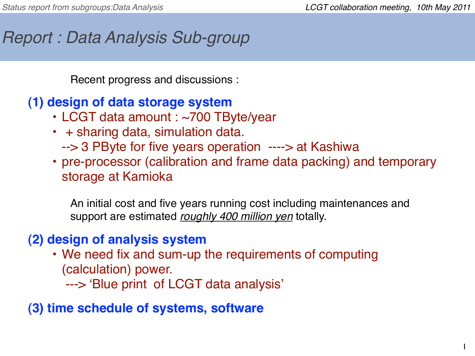1

# *Report : Data Analysis Sub-group*

Recent progress and discussions :

#### **(1) design of data storage system**

- LCGT data amount : ~700 TByte/year
- + sharing data, simulation data. --> 3 PByte for five years operation ----> at Kashiwa
- pre-processor (calibration and frame data packing) and temporary storage at Kamioka

An initial cost and five years running cost including maintenances and support are estimated *roughly 400 million yen* totally.

## **(2) design of analysis system**

- We need fix and sum-up the requirements of computing (calculation) power.
	- ---> ʻBlue print of LCGT data analysis'

### **(3) time schedule of systems, software**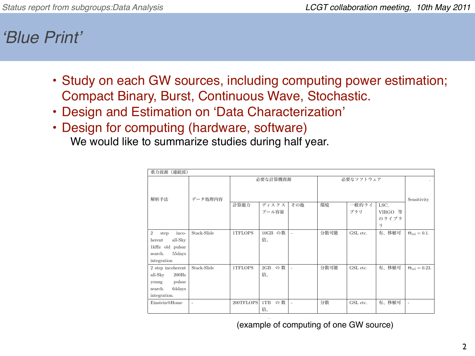ʻ*Blue Print*'

- Study on each GW sources, including computing power estimation; Compact Binary, Burst, Continuous Wave, Stochastic.
- Design and Estimation on ʻData Characterization'
- Design for computing (hardware, software)

We would like to summarize studies during half year.

| 重力波源<br>(連続波)                                                                                               |                          |           |                 |                          |           |              |                                          |                            |
|-------------------------------------------------------------------------------------------------------------|--------------------------|-----------|-----------------|--------------------------|-----------|--------------|------------------------------------------|----------------------------|
| 解析手法                                                                                                        | データ処理内容                  | 必要な計算機資源  |                 |                          | 必要なソフトウェア |              |                                          | $\bullet$<br>Sensitivity   |
|                                                                                                             |                          | 計算能力      | ディスクス<br>プール容量  | その他                      | 環境        | 一般的ライ<br>ブラリ | LSC,<br>VIRGO 等<br>のライブラ<br><sup>1</sup> |                            |
| $\overline{2}$<br>step<br>inco-<br>all-Sky<br>herent<br>1kHz old pulsar<br>55days<br>search.<br>integration | Stack-Slide              | 1TFLOPS   | 10GB の数<br>倍。   | $\overline{\phantom{a}}$ | 分散可能      | GSL etc.     | 有、移植可                                    | $\Theta_{\rm rel} = 0.1.$  |
| 2 step incoherent<br>all-Sky<br>$200\mathrm{Hz}$<br>pulsar<br>young<br>64days<br>search.<br>integration.    | Stack-Slide              | 1TFLOPS   | の数<br>2GB<br>倍。 | $\overline{\phantom{a}}$ | 分散可能      | GSL etc.     | 有、移植可                                    | $\Theta_{\rm rel} = 0.23.$ |
| Einstein@Home                                                                                               | $\overline{\phantom{a}}$ | 200TFLOPS | の数<br>1TB<br>倍。 | $\overline{\phantom{a}}$ | 分散        | GSL etc.     | 有、移植可                                    | $\overline{\phantom{a}}$   |

(example of computing of one GW source)